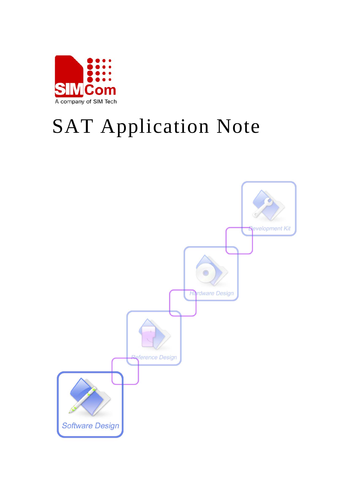

# SAT Application Note

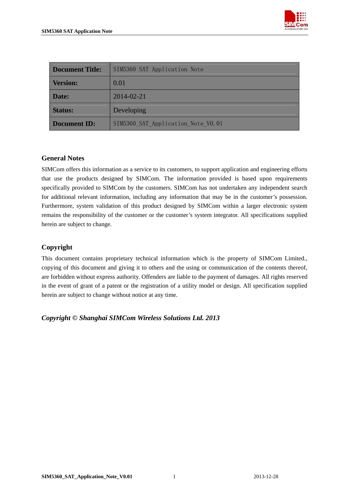

| <b>Document Title:</b> | SIM5360 SAT Application Note       |
|------------------------|------------------------------------|
| <b>Version:</b>        | 0.01                               |
| Date:                  | 2014-02-21                         |
| <b>Status:</b>         | Developing                         |
| <b>Document ID:</b>    | SIM5360 SAT Application Note V0.01 |

#### **General Notes**

SIMCom offers this information as a service to its customers, to support application and engineering efforts that use the products designed by SIMCom. The information provided is based upon requirements specifically provided to SIMCom by the customers. SIMCom has not undertaken any independent search for additional relevant information, including any information that may be in the customer's possession. Furthermore, system validation of this product designed by SIMCom within a larger electronic system remains the responsibility of the customer or the customer's system integrator. All specifications supplied herein are subject to change.

#### **Copyright**

This document contains proprietary technical information which is the property of SIMCom Limited., copying of this document and giving it to others and the using or communication of the contents thereof, are forbidden without express authority. Offenders are liable to the payment of damages. All rights reserved in the event of grant of a patent or the registration of a utility model or design. All specification supplied herein are subject to change without notice at any time.

*Copyright © Shanghai SIMCom Wireless Solutions Ltd. 2013*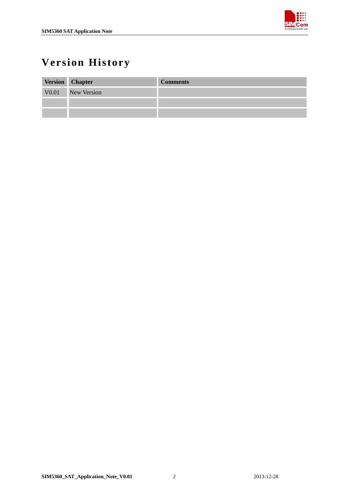

# <span id="page-2-0"></span>**Version History**

| Version Chapter   | <b>Comments</b> |
|-------------------|-----------------|
| V0.01 New Version |                 |
|                   |                 |
|                   |                 |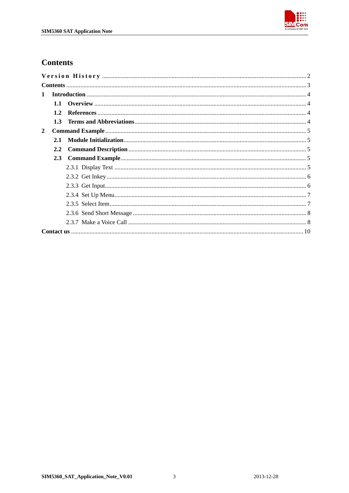

#### <span id="page-3-0"></span>**Contents**

| $\mathbf{1}$ |               |  |
|--------------|---------------|--|
|              | 1.1           |  |
|              | 1.2           |  |
|              | 1.3           |  |
| $\mathbf{2}$ |               |  |
|              | 2.1           |  |
|              | $2.2^{\circ}$ |  |
|              | 2.3           |  |
|              |               |  |
|              |               |  |
|              |               |  |
|              |               |  |
|              |               |  |
|              |               |  |
|              |               |  |
|              |               |  |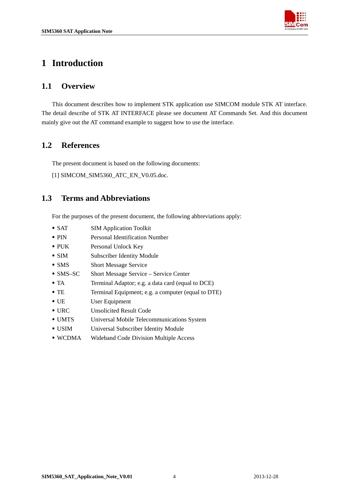

## <span id="page-4-0"></span>**1 Introduction**

#### **1.1 Overview**

This document describes how to implement STK application use SIMCOM module STK AT interface. The detail describe of STK AT INTERFACE please see document AT Commands Set. And this document mainly give out the AT command example to suggest how to use the interface.

#### **1.2 References**

The present document is based on the following documents:

[1] SIMCOM\_SIM5360\_ATC\_EN\_V0.05.doc.

#### **1.3 Terms and Abbreviations**

For the purposes of the present document, the following abbreviations apply:

- **SAT** SIM Application Toolkit
- **PIN** Personal Identification Number
- PUK Personal Unlock Key
- SIM Subscriber Identity Module
- **SMS** Short Message Service
- **SMS–SC** Short Message Service Service Center
- TA Terminal Adaptor; e.g. a data card (equal to DCE)
- TE Terminal Equipment; e.g. a computer (equal to DTE)
- UE User Equipment
- URC Unsolicited Result Code
- UMTS Universal Mobile Telecommunications System
- USIM Universal Subscriber Identity Module
- WCDMA Wideband Code Division Multiple Access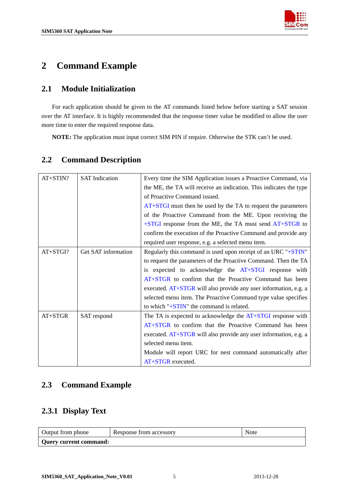

## <span id="page-5-0"></span>**2 Command Example**

#### **2.1 Module Initialization**

For each application should be given to the AT commands listed below before starting a SAT session over the AT interface. It is highly recommended that the response timer value be modified to allow the user more time to enter the required response data.

**NOTE:** The application must input correct SIM PIN if require. Otherwise the STK can't be used.

| $AT+STIN?$ | <b>SAT</b> Indication | Every time the SIM Application issues a Proactive Command, via     |  |  |
|------------|-----------------------|--------------------------------------------------------------------|--|--|
|            |                       | the ME, the TA will receive an indication. This indicates the type |  |  |
|            |                       | of Proactive Command issued.                                       |  |  |
|            |                       | AT+STGI must then be used by the TA to request the parameters      |  |  |
|            |                       | of the Proactive Command from the ME. Upon receiving the           |  |  |
|            |                       | $+STGI$ response from the ME, the TA must send $AT+STGR$ to        |  |  |
|            |                       | confirm the execution of the Proactive Command and provide any     |  |  |
|            |                       | required user response, e.g. a selected menu item.                 |  |  |
| $AT+STGI?$ | Get SAT information   | Regularly this command is used upon receipt of an URC "+STIN"      |  |  |
|            |                       | to request the parameters of the Proactive Command. Then the TA    |  |  |
|            |                       | is expected to acknowledge the AT+STGI response with               |  |  |
|            |                       | AT+STGR to confirm that the Proactive Command has been             |  |  |
|            |                       | executed. AT+STGR will also provide any user information, e.g. a   |  |  |
|            |                       | selected menu item. The Proactive Command type value specifies     |  |  |
|            |                       | to which " $+STIN$ " the command is related.                       |  |  |
| AT+STGR    | SAT respond           | The TA is expected to acknowledge the $AT+STGI$ response with      |  |  |
|            |                       | AT+STGR to confirm that the Proactive Command has been             |  |  |
|            |                       | executed. $AT+STGR$ will also provide any user information, e.g. a |  |  |
|            |                       | selected menu item.                                                |  |  |
|            |                       | Module will report URC for nest command automatically after        |  |  |
|            |                       | AT+STGR executed.                                                  |  |  |

#### **2.2 Command Description**

#### **2.3 Command Example**

#### **2.3.1 Display Text**

| Output from phone             | Response from accessory | Note |  |
|-------------------------------|-------------------------|------|--|
| <b>Query current command:</b> |                         |      |  |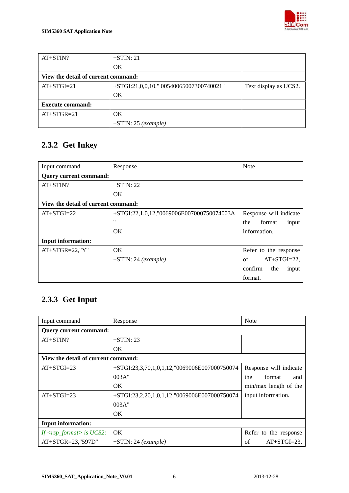

<span id="page-6-0"></span>

| AT+STIN?                            | $+STIN: 21$                              |                       |
|-------------------------------------|------------------------------------------|-----------------------|
|                                     | OK                                       |                       |
| View the detail of current command: |                                          |                       |
| $AT+STGI=21$                        | $+STGI:21,0,0,10,"00540065007300740021"$ | Text display as UCS2. |
|                                     | OK                                       |                       |
| <b>Execute command:</b>             |                                          |                       |
| $AT+STGR=21$                        | OK                                       |                       |
|                                     | $+STIN: 25$ (example)                    |                       |

# **2.3.2 Get Inkey**

| Input command                       | Response                                  | <b>Note</b>             |  |  |
|-------------------------------------|-------------------------------------------|-------------------------|--|--|
| <b>Query current command:</b>       |                                           |                         |  |  |
| $AT+STIN?$                          | $+STIN: 22$                               |                         |  |  |
|                                     | <b>OK</b>                                 |                         |  |  |
| View the detail of current command: |                                           |                         |  |  |
| $AT+STGI=22$                        | +STGI:22,1,0,12,"0069006E007000750074003A | Response will indicate  |  |  |
|                                     | $^{\prime}$                               | the<br>format<br>input  |  |  |
|                                     | <b>OK</b>                                 | information.            |  |  |
| <b>Input information:</b>           |                                           |                         |  |  |
| $AT+STGR=22,"Y"$                    | OK.                                       | Refer to the response   |  |  |
|                                     | $+STIN: 24 (example)$                     | $AT+STGI=22$ ,<br>of    |  |  |
|                                     |                                           | confirm<br>the<br>input |  |  |
|                                     |                                           | format.                 |  |  |

# **2.3.3 Get Input**

| Input command                              | Response                                     | <b>Note</b>            |
|--------------------------------------------|----------------------------------------------|------------------------|
| <b>Query current command:</b>              |                                              |                        |
| $AT+STIN?$                                 | $+STIN: 23$                                  |                        |
|                                            | OK.                                          |                        |
| View the detail of current command:        |                                              |                        |
| $AT+STGI=23$                               | +STGI:23,3,70,1,0,1,12,"0069006E007000750074 | Response will indicate |
|                                            | 003A''                                       | format<br>the<br>and   |
|                                            | OK.                                          | min/max length of the  |
| $AT+STGI=23$                               | +STGI:23,2,20,1,0,1,12,"0069006E007000750074 | input information.     |
|                                            | 003A''                                       |                        |
|                                            | OK                                           |                        |
| <b>Input information:</b>                  |                                              |                        |
| If $\langle$ rsp_format $\rangle$ is UCS2: | <b>OK</b>                                    | Refer to the response  |
| AT+STGR=23,"597D"                          | $+STIN: 24$ (example)                        | $AT+STGI=23$ ,<br>of   |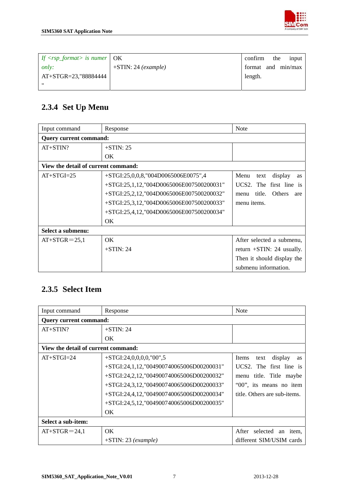<span id="page-7-0"></span>

| $ $ If $\langle$ rsp_format $\rangle$ is numer $ $ OK |                       | confirm | the | input              |
|-------------------------------------------------------|-----------------------|---------|-----|--------------------|
| <i>only:</i>                                          | $+STIN: 24 (example)$ |         |     | format and min/max |
| AT+STGR=23,"88884444                                  |                       | length. |     |                    |
| $^{\prime\prime}$                                     |                       |         |     |                    |

# **2.3.4 Set Up Menu**

| Input command                       | Response                                    | <b>Note</b>                             |  |
|-------------------------------------|---------------------------------------------|-----------------------------------------|--|
| <b>Query current command:</b>       |                                             |                                         |  |
| $AT+STIN?$                          | $+STIN: 25$                                 |                                         |  |
|                                     | OK.                                         |                                         |  |
| View the detail of current command: |                                             |                                         |  |
| $AT+STGI=25$                        | +STGI:25,0,0,8,"004D0065006E0075",4         | Menu<br>display<br>text<br>as           |  |
|                                     | $+STGI:25,1,12, "004D0065006E007500200031"$ | UCS <sub>2</sub> . The first line<br>is |  |
|                                     | +STGI:25,2,12,"004D0065006E007500200032"    | <b>Others</b><br>title.<br>menu<br>are  |  |
|                                     | +STGI:25,3,12,"004D0065006E007500200033"    | menu items.                             |  |
|                                     | +STGI:25,4,12,"004D0065006E007500200034"    |                                         |  |
|                                     | OK.                                         |                                         |  |
| Select a submenu:                   |                                             |                                         |  |
| $AT+STGR = 25,1$                    | OK.                                         | After selected a submenu,               |  |
|                                     | $+STIN: 24$                                 | return $+STIN: 24$ usually.             |  |
|                                     |                                             | Then it should display the              |  |
|                                     |                                             | submenu information.                    |  |

#### **2.3.5 Select Item**

| Input command                       | <b>Note</b><br>Response                     |                                       |  |
|-------------------------------------|---------------------------------------------|---------------------------------------|--|
| <b>Query current command:</b>       |                                             |                                       |  |
| $AT+STIN?$                          | $+STIN: 24$                                 |                                       |  |
|                                     | OK.                                         |                                       |  |
| View the detail of current command: |                                             |                                       |  |
| $AT+STGI=24$                        | $+STGI:24,0,0,0,0,100$ ",5                  | display<br>Items<br>text<br><b>as</b> |  |
|                                     | $+STGI:24,1,12, "004900740065006D00200031"$ | UCS2. The first line is               |  |
|                                     | +STGI:24,2,12,"004900740065006D00200032"    | menu title. Title maybe               |  |
|                                     | $+STGI:24,3,12, "004900740065006D00200033"$ | "00", its means no item               |  |
|                                     | $+STGI:24,4,12, "004900740065006D00200034"$ | title. Others are sub-items.          |  |
|                                     | $+STGI:24,5,12, "004900740065006D00200035"$ |                                       |  |
|                                     | OK.                                         |                                       |  |
| Select a sub-item:                  |                                             |                                       |  |
| $AT+STGR = 24,1$                    | OK.                                         | After selected<br>an item,            |  |
|                                     | $+STIN: 23 (example)$                       | different SIM/USIM cards              |  |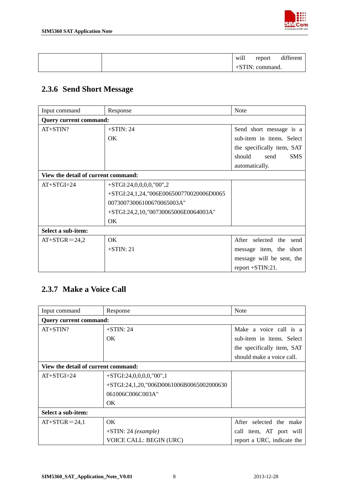

<span id="page-8-0"></span>

|  | will | report          | different |
|--|------|-----------------|-----------|
|  |      | +STIN: command. |           |

# **2.3.6 Send Short Message**

| Input command                       | Response                                | <b>Note</b>                  |  |  |
|-------------------------------------|-----------------------------------------|------------------------------|--|--|
| <b>Query current command:</b>       |                                         |                              |  |  |
| AT+STIN?                            | $+STIN: 24$                             | Send short message is a      |  |  |
|                                     | OK.                                     | sub-item in items. Select    |  |  |
|                                     |                                         | the specifically item, SAT   |  |  |
|                                     |                                         | <b>SMS</b><br>should<br>send |  |  |
|                                     |                                         | automatically.               |  |  |
| View the detail of current command: |                                         |                              |  |  |
| $AT+STGI=24$                        | $+STGI:24,0,0,0,0, "00",2$              |                              |  |  |
|                                     | +STGI:24,1,24,"006E006500770020006D0065 |                              |  |  |
|                                     | 00730073006100670065003A"               |                              |  |  |
|                                     | +STGI:24,2,10,"00730065006E0064003A"    |                              |  |  |
|                                     | OK.                                     |                              |  |  |
| Select a sub-item:                  |                                         |                              |  |  |
| $AT+STGR = 24.2$                    | OK.                                     | After selected the send      |  |  |
|                                     | $+STIN: 21$                             | message item, the short      |  |  |
|                                     |                                         | message will be sent, the    |  |  |
|                                     |                                         | $report + STIN:21.$          |  |  |

#### **2.3.7 Make a Voice Call**

| Input command                       | Response                                  | <b>Note</b>                |  |  |
|-------------------------------------|-------------------------------------------|----------------------------|--|--|
| <b>Query current command:</b>       |                                           |                            |  |  |
| $AT+STIN?$                          | $+STIN: 24$                               | Make a voice call is a     |  |  |
|                                     | OK.                                       | sub-item in items. Select  |  |  |
|                                     |                                           | the specifically item, SAT |  |  |
|                                     |                                           | should make a voice call.  |  |  |
| View the detail of current command: |                                           |                            |  |  |
| $AT+STGI=24$                        | $+STGI:24,0,0,0,0, "00",1$                |                            |  |  |
|                                     | $+STGI:24,1,20,106D0061006B0065002000630$ |                            |  |  |
|                                     | 061006C006C003A"                          |                            |  |  |
|                                     | OK                                        |                            |  |  |
| Select a sub-item:                  |                                           |                            |  |  |
| $AT+STGR = 24,1$                    | OK.                                       | After selected the make    |  |  |
|                                     | $+STIN: 24 (example)$                     | call item, AT port will    |  |  |
|                                     | VOICE CALL: BEGIN (URC)                   | report a URC, indicate the |  |  |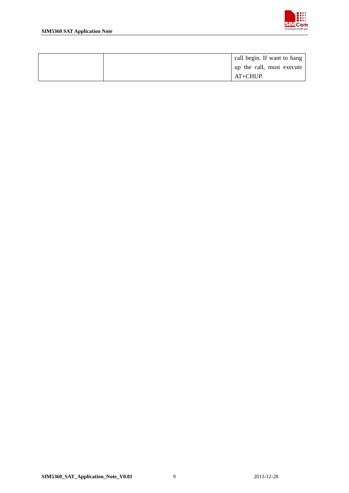

|  | call begin. If want to hang |
|--|-----------------------------|
|  | up the call, must execute   |
|  | AT+CHUP.                    |